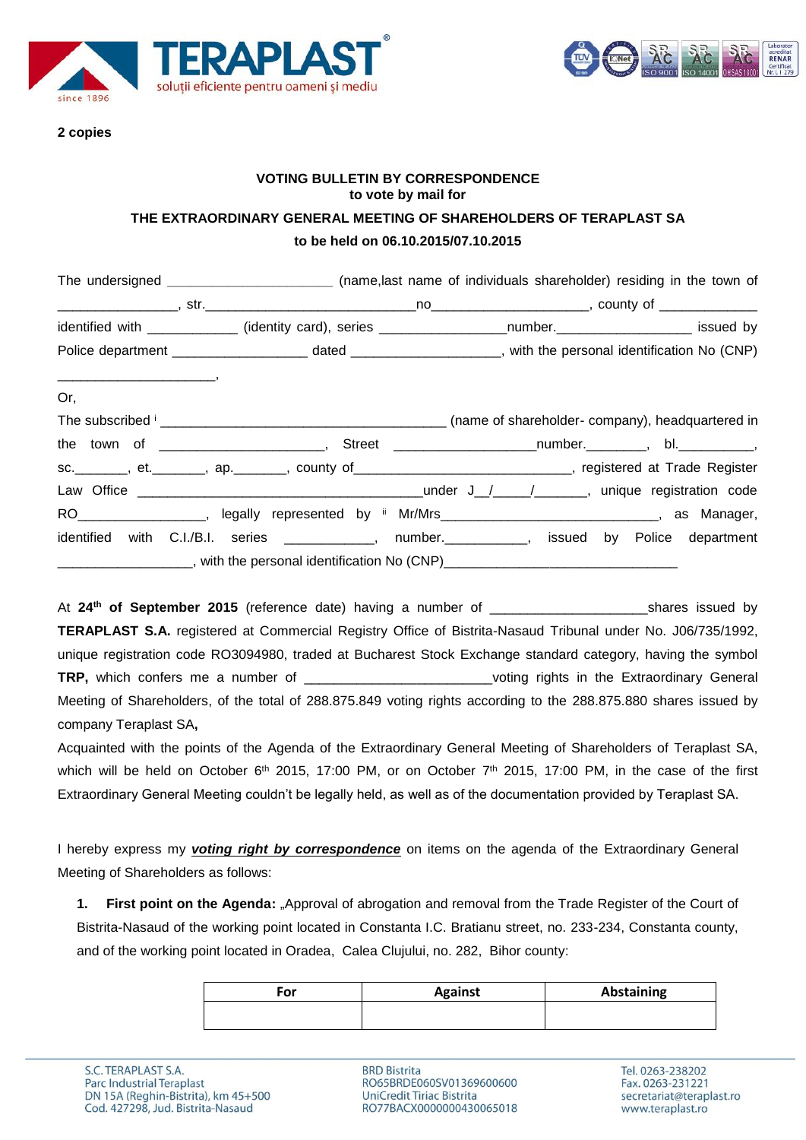



#### **2 copies**

### **VOTING BULLETIN BY CORRESPONDENCE to vote by mail for THE EXTRAORDINARY GENERAL MEETING OF SHAREHOLDERS OF TERAPLAST SA**

### **to be held on 06.10.2015/07.10.2015**

|     | The undersigned ______________________________ (name,last name of individuals shareholder) residing in the town of |  |  |
|-----|--------------------------------------------------------------------------------------------------------------------|--|--|
|     |                                                                                                                    |  |  |
|     | identified with ____________ (identity card), series __________________number.____________________ issued by       |  |  |
|     |                                                                                                                    |  |  |
| Or, |                                                                                                                    |  |  |
|     |                                                                                                                    |  |  |
|     |                                                                                                                    |  |  |
|     | sc. _______, et. ______, ap. ______, county of ___________________________, registered at Trade Register           |  |  |
|     |                                                                                                                    |  |  |
|     | RO___________________, legally represented by ii Mr/Mrs______________________________, as Manager,                 |  |  |
|     | identified with C.I./B.I. series _____________, number.___________, issued by Police department                    |  |  |
|     |                                                                                                                    |  |  |

At **24th of September 2015** (reference date) having a number of \_\_\_\_\_\_\_\_\_\_\_\_\_\_\_\_\_\_\_\_\_shares issued by **TERAPLAST S.A.** registered at Commercial Registry Office of Bistrita-Nasaud Tribunal under No. J06/735/1992, unique registration code RO3094980, traded at Bucharest Stock Exchange standard category, having the symbol **TRP,** which confers me a number of \_\_\_\_\_\_\_\_\_\_\_\_\_\_\_\_\_\_\_\_\_\_\_\_\_voting rights in the Extraordinary General Meeting of Shareholders, of the total of 288.875.849 voting rights according to the 288.875.880 shares issued by company Teraplast SA**,**

Acquainted with the points of the Agenda of the Extraordinary General Meeting of Shareholders of Teraplast SA, which will be held on October 6<sup>th</sup> 2015, 17:00 PM, or on October 7<sup>th</sup> 2015, 17:00 PM, in the case of the first Extraordinary General Meeting couldn't be legally held, as well as of the documentation provided by Teraplast SA.

I hereby express my *voting right by correspondence* on items on the agenda of the Extraordinary General Meeting of Shareholders as follows:

1. First point on the Agenda: "Approval of abrogation and removal from the Trade Register of the Court of Bistrita-Nasaud of the working point located in Constanta I.C. Bratianu street, no. 233-234, Constanta county, and of the working point located in Oradea, Calea Clujului, no. 282, Bihor county:

| For | <b>Against</b> | <b>Abstaining</b> |
|-----|----------------|-------------------|
|     |                |                   |

**BRD Bistrita** RO65BRDE060SV01369600600 UniCredit Tiriac Bistrita RO77BACX0000000430065018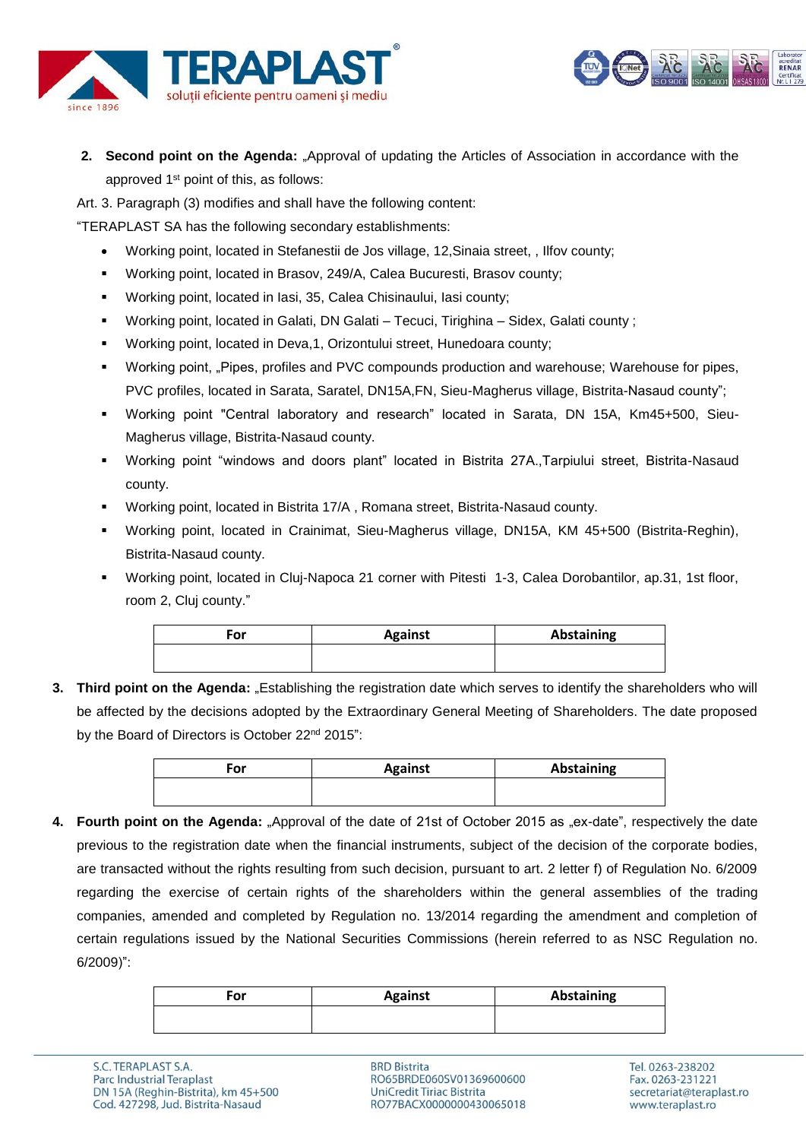



- **2. Second point on the Agenda:** "Approval of updating the Articles of Association in accordance with the approved 1<sup>st</sup> point of this, as follows:
- Art. 3. Paragraph (3) modifies and shall have the following content:

"TERAPLAST SA has the following secondary establishments:

- Working point, located in Stefanestii de Jos village, 12,Sinaia street, , Ilfov county;
- Working point, located in Brasov, 249/A, Calea Bucuresti, Brasov county;
- Working point, located in Iasi, 35, Calea Chisinaului, Iasi county;
- Working point, located in Galati, DN Galati Tecuci, Tirighina Sidex, Galati county ;
- Working point, located in Deva,1, Orizontului street, Hunedoara county;
- **Working point, "Pipes, profiles and PVC compounds production and warehouse; Warehouse for pipes,** PVC profiles, located in Sarata, Saratel, DN15A,FN, Sieu-Magherus village, Bistrita-Nasaud county";
- Working point "Central laboratory and research" located in Sarata, DN 15A, Km45+500, Sieu-Magherus village, Bistrita-Nasaud county.
- Working point "windows and doors plant" located in Bistrita 27A.,Tarpiului street, Bistrita-Nasaud county.
- Working point, located in Bistrita 17/A , Romana street, Bistrita-Nasaud county.
- Working point, located in Crainimat, Sieu-Magherus village, DN15A, KM 45+500 (Bistrita-Reghin), Bistrita-Nasaud county.
- Working point, located in Cluj-Napoca 21 corner with Pitesti 1-3, Calea Dorobantilor, ap.31, 1st floor, room 2, Cluj county."

| For | <b>Against</b> | Abstaining |
|-----|----------------|------------|
|     |                |            |

**3.** Third point on the Agenda: "Establishing the registration date which serves to identify the shareholders who will be affected by the decisions adopted by the Extraordinary General Meeting of Shareholders. The date proposed by the Board of Directors is October 22<sup>nd</sup> 2015":

| For | <b>Against</b> | <b>Abstaining</b> |
|-----|----------------|-------------------|
|     |                |                   |

**4. Fourth point on the Agenda:** "Approval of the date of 21st of October 2015 as "ex-date", respectively the date previous to the registration date when the financial instruments, subject of the decision of the corporate bodies, are transacted without the rights resulting from such decision, pursuant to art. 2 letter f) of Regulation No. 6/2009 regarding the exercise of certain rights of the shareholders within the general assemblies of the trading companies, amended and completed by Regulation no. 13/2014 regarding the amendment and completion of certain regulations issued by the National Securities Commissions (herein referred to as NSC Regulation no. 6/2009)":

| For | <b>Against</b> | Abstaining |
|-----|----------------|------------|
|     |                |            |

**BRD Bistrita** RO65BRDE060SV01369600600 **UniCredit Tiriac Bistrita** RO77BACX0000000430065018